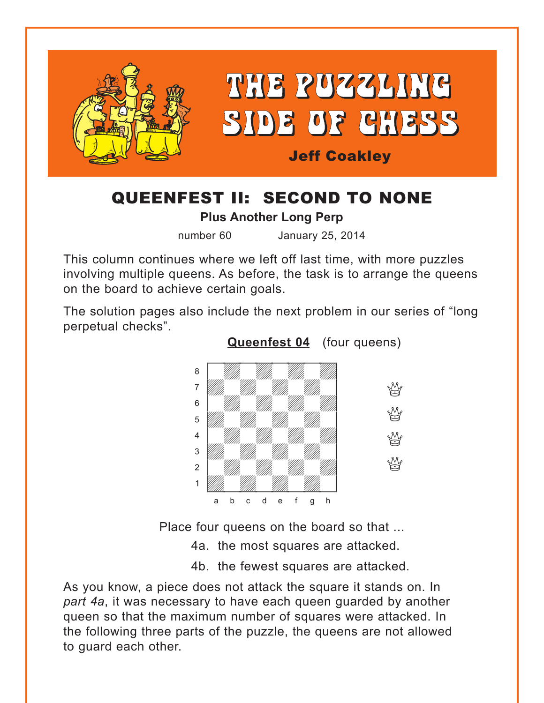<span id="page-0-0"></span>

## QUEENFEST II: SECOND TO NONE

**Plus Another Long Perp**

number 60 January 25, 2014

This column continues where we left off last time, with more puzzles involving multiple queens. As before, the task is to arrange the queens on the board to achieve certain goals.

The solution pages also include the next problem in our series of "long perpetual checks".



Place four queens on the board so that ...

4a. the most squares are attacked.

4b. the fewest squares are attacked.

As you know, a piece does not attack the square it stands on. In *part 4a*, it was necessary to have each queen guarded by another queen so that the maximum number of squares were attacked. In the following three parts of the puzzle, the queens are not allowed to guard each other.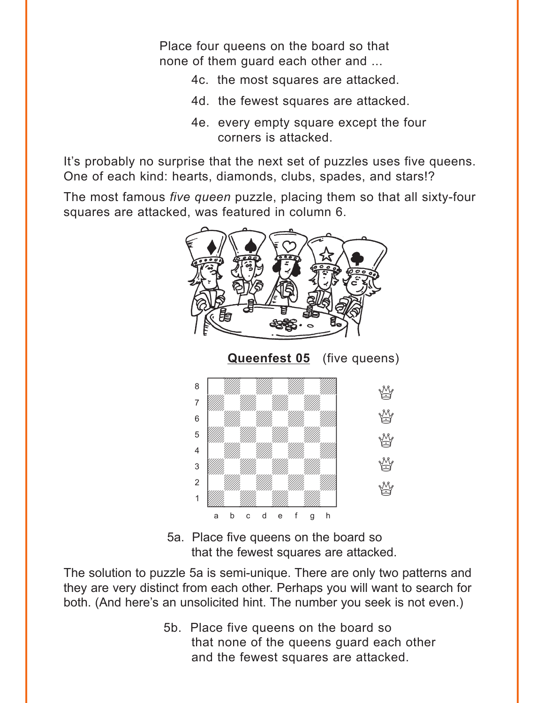<span id="page-1-0"></span>Place four queens on the board so that none of them guard each other and ...

- 4c. the most squares are attacked.
- 4d. the fewest squares are attacked.
- 4e. every empty square except the four corners is attacked.

It's probably no surprise that the next set of puzzles uses five queens. One of each kind: hearts, diamonds, clubs, spades, and stars!?

The most famous *five queen* puzzle, placing them so that all sixty-four squares are attacked, was featured in column 6.



5a. Place five queens on the board so that the fewest squares are attacked.

The solution to puzzle 5a is semi-unique. There are only two patterns and they are very distinct from each other. Perhaps you will want to search for both. (And here's an unsolicited hint. The number you seek is not even.)

> 5b. Place five queens on the board so that none of the queens guard each other and the fewest squares are attacked.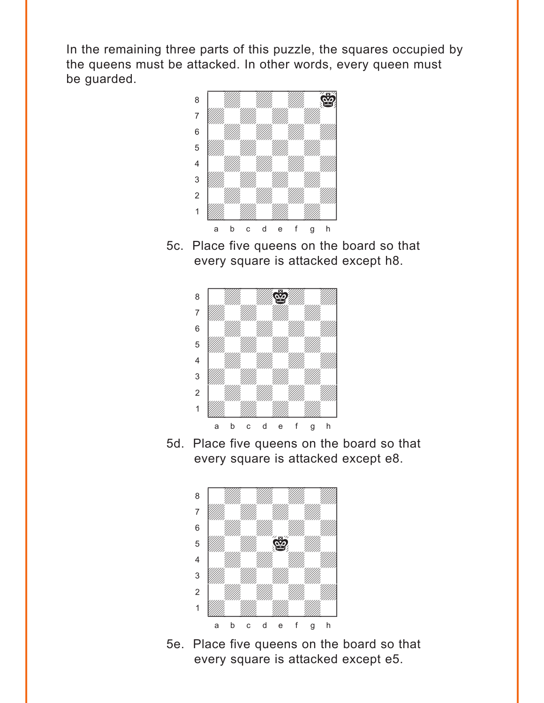In the remaining three parts of this puzzle, the squares occupied by the queens must be attacked. In other words, every queen must be guarded. with the set of the set of the set of the set of the set of the set of the set of the set of the set of the set of the set of the set of the set of the set of the set of the set of the set of the set of the set of the set



5c. Place five queens on the board so that every square is attacked except h8.



5d. Place five queens on the board so that every square is attacked except e8.



5e. Place five queens on the board so that every square is attacked except e5.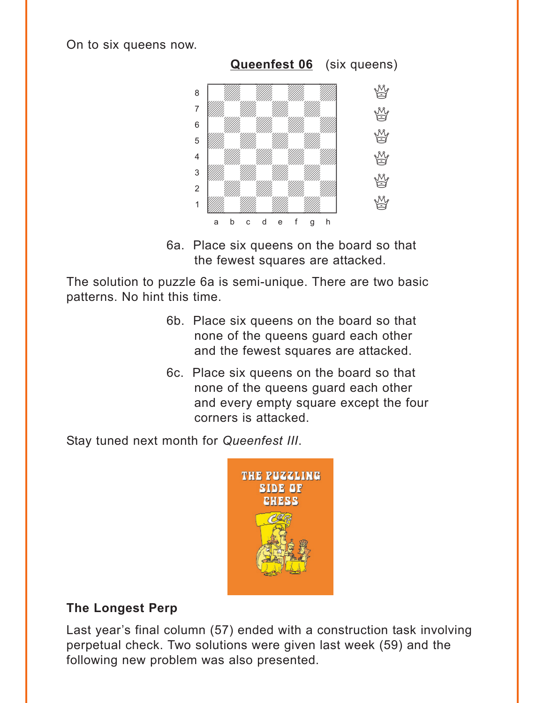<span id="page-3-0"></span>On to six queens now.



6a. Place six queens on the board so that the fewest squares are attacked.

The solution to puzzle 6a is semi-unique. There are two basic patterns. No hint this time.

- 6b. Place six queens on the board so that none of the queens guard each other and the fewest squares are attacked.
- 6c. Place six queens on the board so that none of the queens guard each other and every empty square except the four corners is attacked.

Stay tuned next month for *Queenfest III*.



### **The Longest Perp**

Last year's final column (57) ended with a construction task involving perpetual check. Two solutions were given last week (59) and the following new problem was also presented.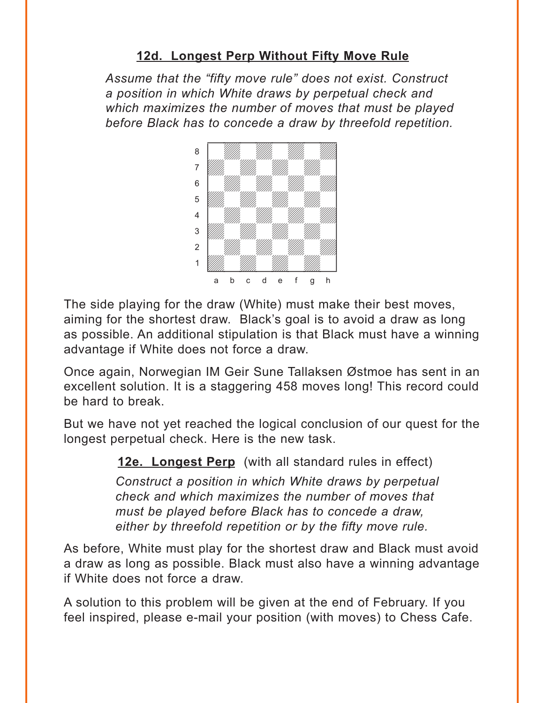## **12d. [Longest Perp Without Fifty Move Rule](#page-13-0)**

<span id="page-4-0"></span>*Assume that the "fifty move rule" does not exist. Construct a position in which White draws by perpetual check and which maximizes the number of moves that must be played before Black has to concede a draw by threefold repetition.*



The side playing for the draw (White) must make their best moves, aiming for the shortest draw. Black's goal is to avoid a draw as long as possible. An additional stipulation is that Black must have a winning advantage if White does not force a draw.

Once again, Norwegian IM Geir Sune Tallaksen Østmoe has sent in an excellent solution. It is a staggering 458 moves long! This record could be hard to break.

But we have not yet reached the logical conclusion of our quest for the longest perpetual check. Here is the new task.

**12e. Longest Perp** (with all standard rules in effect)

*Construct a position in which White draws by perpetual check and which maximizes the number of moves that must be played before Black has to concede a draw, either by threefold repetition or by the fifty move rule.*

As before, White must play for the shortest draw and Black must avoid a draw as long as possible. Black must also have a winning advantage if White does not force a draw.

A solution to this problem will be given at the end of February. If you feel inspired, please e-mail your position (with moves) to Chess Cafe.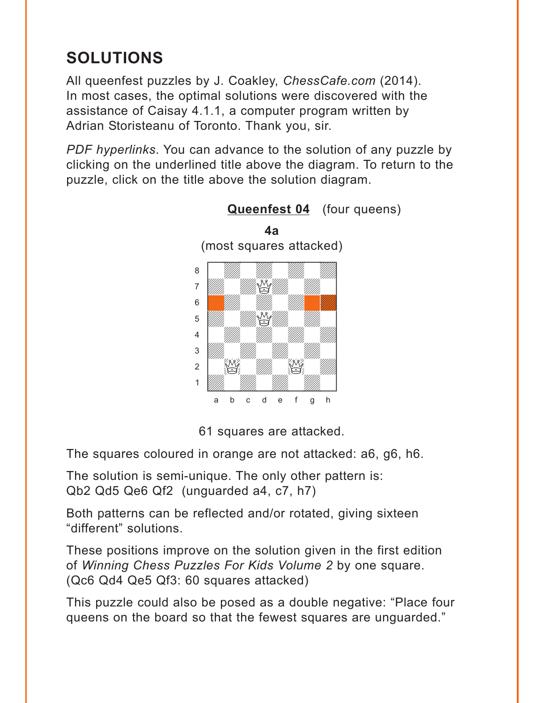# <span id="page-5-0"></span>**SOLUTIONS**

All queenfest puzzles by J. Coakley, *ChessCafe.com* (2014). In most cases, the optimal solutions were discovered with the assistance of Caisay 4.1.1, a computer program written by Adrian Storisteanu of Toronto. Thank you, sir.

*PDF hyperlinks*. You can advance to the solution of any puzzle by clicking on the underlined title above the diagram. To return to the puzzle, click on the title above the solution diagram.



**[Queenfest 04](#page-0-0)** (four queens)

61 squares are attacked.

The squares coloured in orange are not attacked: a6, g6, h6.

The solution is semi-unique. The only other pattern is: Qb2 Qd5 Qe6 Qf2 (unguarded a4, c7, h7)

Both patterns can be reflected and/or rotated, giving sixteen "different" solutions.

These positions improve on the solution given in the first edition of *Winning Chess Puzzles For Kids Volume 2* by one square. (Qc6 Qd4 Qe5 Qf3: 60 squares attacked)

This puzzle could also be posed as a double negative: "Place four queens on the board so that the fewest squares are unguarded."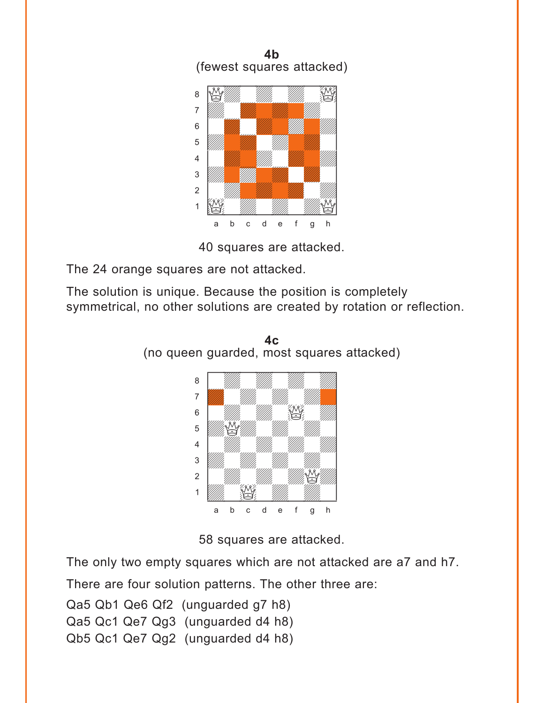

The 24 orange squares are not attacked.

The solution is unique. Because the position is completely symmetrical, no other solutions are created by rotation or reflection.



**4c** (no queen guarded, most squares attacked)

58 squares are attacked.

The only two empty squares which are not attacked are a7 and h7.

There are four solution patterns. The other three are:

Qa5 Qb1 Qe6 Qf2 (unguarded g7 h8)

Qa5 Qc1 Qe7 Qg3 (unguarded d4 h8)

Qb5 Qc1 Qe7 Qg2 (unguarded d4 h8)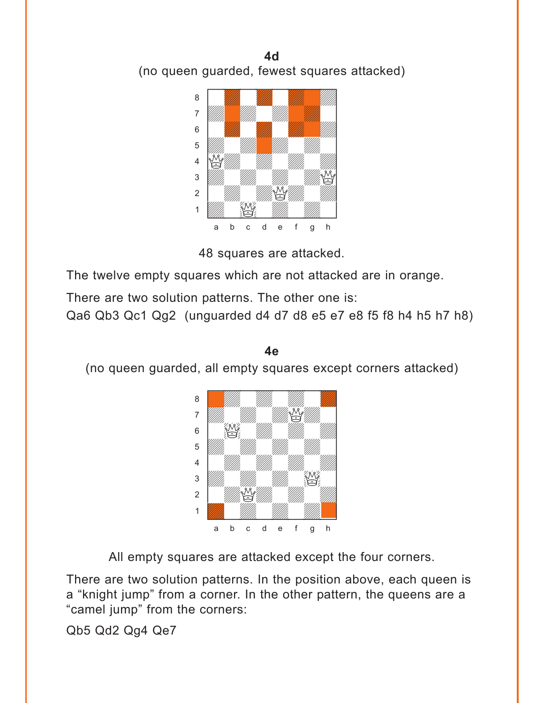



The twelve empty squares which are not attacked are in orange.

There are two solution patterns. The other one is:

Qa6 Qb3 Qc1 Qg2 (unguarded d4 d7 d8 e5 e7 e8 f5 f8 h4 h5 h7 h8)



(no queen guarded, all empty squares except corners attacked)

**4e** 

All empty squares are attacked except the four corners.

There are two solution patterns. In the position above, each queen is a "knight jump" from a corner. In the other pattern, the queens are a "camel jump" from the corners:

Qb5 Qd2 Qg4 Qe7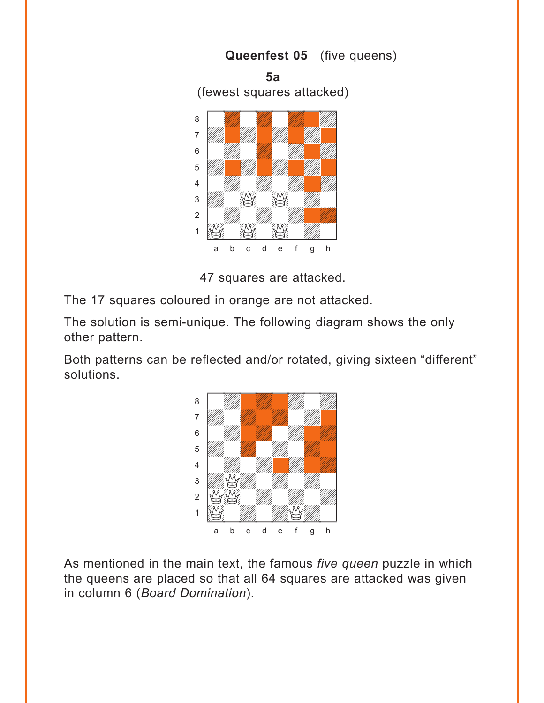<span id="page-8-0"></span>

The 17 squares coloured in orange are not attacked.

The solution is semi-unique. The following diagram shows the only other pattern.

Both patterns can be reflected and/or rotated, giving sixteen "different" solutions.



As mentioned in the main text, the famous *five queen* puzzle in which the queens are placed so that all 64 squares are attacked was given in column 6 (*Board Domination*).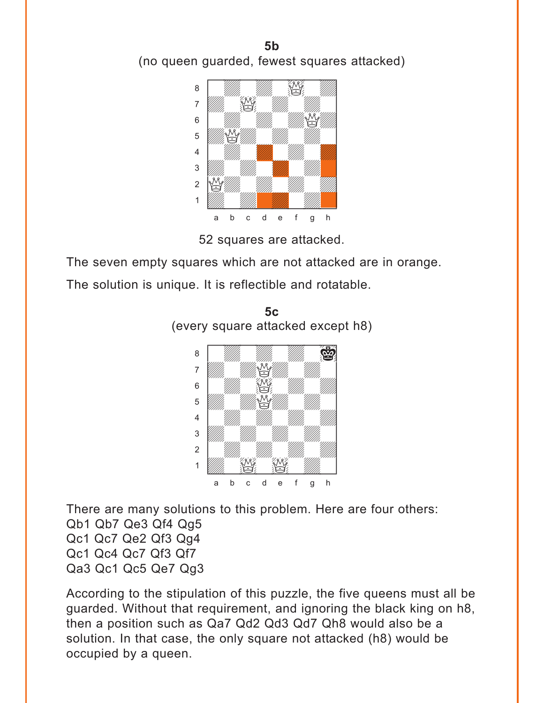



The seven empty squares which are not attacked are in orange.

The solution is unique. It is reflectible and rotatable.





There are many solutions to this problem. Here are four others: Qb1 Qb7 Qe3 Qf4 Qg5 Qc1 Qc7 Qe2 Qf3 Qg4 Qc1 Qc4 Qc7 Qf3 Qf7 Qa3 Qc1 Qc5 Qe7 Qg3

According to the stipulation of this puzzle, the five queens must all be guarded. Without that requirement, and ignoring the black king on h8, then a position such as Qa7 Qd2 Qd3 Qd7 Qh8 would also be a solution. In that case, the only square not attacked (h8) would be occupied by a queen.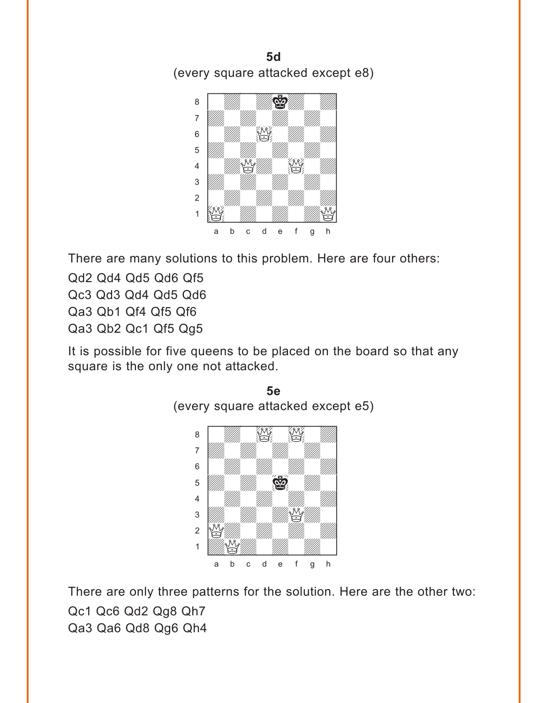**5d**  (every square attacked except e8)



There are many solutions to this problem. Here are four others:

Qd2 Qd4 Qd5 Qd6 Qf5 Qc3 Qd3 Qd4 Qd5 Qd6 Qa3 Qb1 Qf4 Qf5 Qf6 Qa3 Qb2 Qc1 Qf5 Qg5

It is possible for five queens to be placed on the board so that any square is the only one not attacked.



There are only three patterns for the solution. Here are the other two: Qc1 Qc6 Qd2 Qg8 Qh7 Qa3 Qa6 Qd8 Qg6 Qh4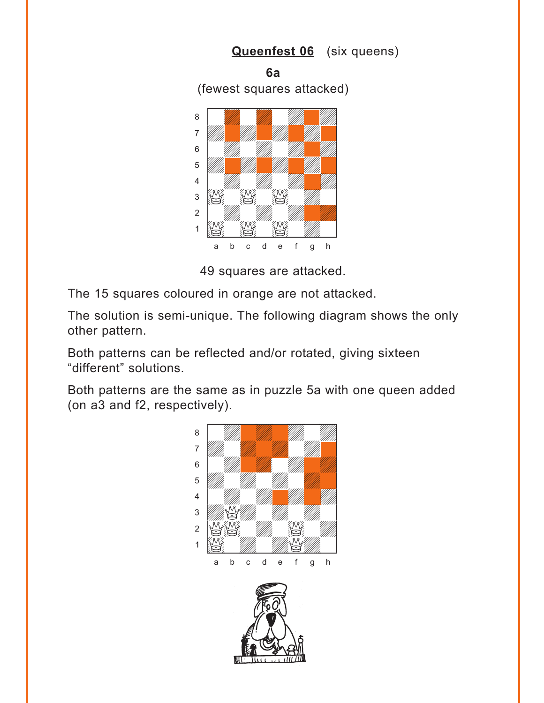<span id="page-11-0"></span>

The 15 squares coloured in orange are not attacked.

The solution is semi-unique. The following diagram shows the only other pattern.

Both patterns can be reflected and/or rotated, giving sixteen "different" solutions.

Both patterns are the same as in puzzle 5a with one queen added (on a3 and f2, respectively).

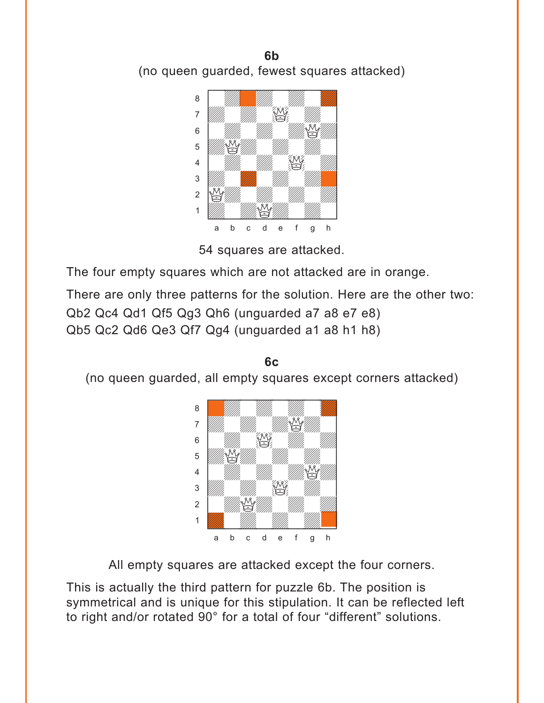**6b**  (no queen guarded, fewest squares attacked)



54 squares are attacked.

The four empty squares which are not attacked are in orange.

There are only three patterns for the solution. Here are the other two:

Qb2 Qc4 Qd1 Qf5 Qg3 Qh6 (unguarded a7 a8 e7 e8)

Qb5 Qc2 Qd6 Qe3 Qf7 Qg4 (unguarded a1 a8 h1 h8)

**6c**  (no queen guarded, all empty squares except corners attacked)



All empty squares are attacked except the four corners.

This is actually the third pattern for puzzle 6b. The position is symmetrical and is unique for this stipulation. It can be reflected left to right and/or rotated 90° for a total of four "different" solutions.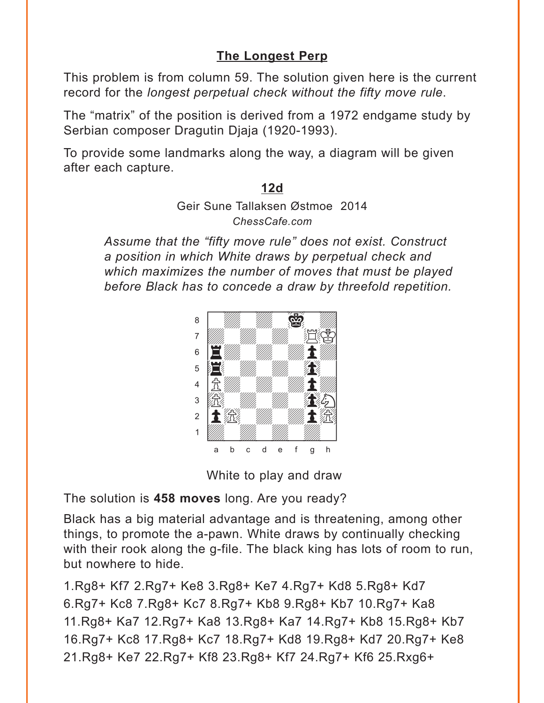## **[The Longest Perp](#page-4-0)**

<span id="page-13-0"></span>This problem is from column 59. The solution given here is the current record for the *longest perpetual check without the fifty move rule*.

The "matrix" of the position is derived from a 1972 endgame study by Serbian composer Dragutin Djaja (1920-1993).

To provide some landmarks along the way, a diagram will be given after each capture.

#### **[12d](#page-4-0)**

Geir Sune Tallaksen Østmoe 2014 *ChessCafe.com*

*Assume that the "fifty move rule" does not exist. Construct a position in which White draws by perpetual check and which maximizes the number of moves that must be played before Black has to concede a draw by threefold repetition.*



White to play and draw

The solution is **458 moves** long. Are you ready?

Black has a big material advantage and is threatening, among other things, to promote the a-pawn. White draws by continually checking with their rook along the g-file. The black king has lots of room to run, but nowhere to hide.

1.Rg8+ Kf7 2.Rg7+ Ke8 3.Rg8+ Ke7 4.Rg7+ Kd8 5.Rg8+ Kd7 6.Rg7+ Kc8 7.Rg8+ Kc7 8.Rg7+ Kb8 9.Rg8+ Kb7 10.Rg7+ Ka8 11.Rg8+ Ka7 12.Rg7+ Ka8 13.Rg8+ Ka7 14.Rg7+ Kb8 15.Rg8+ Kb7 16.Rg7+ Kc8 17.Rg8+ Kc7 18.Rg7+ Kd8 19.Rg8+ Kd7 20.Rg7+ Ke8 21.Rg8+ Ke7 22.Rg7+ Kf8 23.Rg8+ Kf7 24.Rg7+ Kf6 25.Rxg6+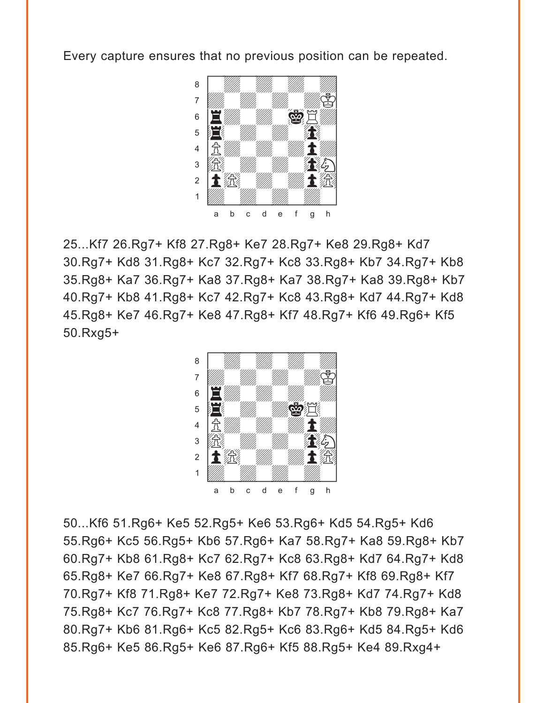Every capture ensures that no previous position can be repeated.



25...Kf7 26.Rg7+ Kf8 27.Rg8+ Ke7 28.Rg7+ Ke8 29.Rg8+ Kd7 30.Rg7+ Kd8 31.Rg8+ Kc7 32.Rg7+ Kc8 33.Rg8+ Kb7 34.Rg7+ Kb8 35.Rg8+ Ka7 36.Rg7+ Ka8 37.Rg8+ Ka7 38.Rg7+ Ka8 39.Rg8+ Kb7 40.Rg7+ Kb8 41.Rg8+ Kc7 42.Rg7+ Kc8 43.Rg8+ Kd7 44.Rg7+ Kd8 45.Rg8+ Ke7 46.Rg7+ Ke8 47.Rg8+ Kf7 48.Rg7+ Kf6 49.Rg6+ Kf5 50.Rxg5+



50...Kf6 51.Rg6+ Ke5 52.Rg5+ Ke6 53.Rg6+ Kd5 54.Rg5+ Kd6 55.Rg6+ Kc5 56.Rg5+ Kb6 57.Rg6+ Ka7 58.Rg7+ Ka8 59.Rg8+ Kb7 60.Rg7+ Kb8 61.Rg8+ Kc7 62.Rg7+ Kc8 63.Rg8+ Kd7 64.Rg7+ Kd8 65.Rg8+ Ke7 66.Rg7+ Ke8 67.Rg8+ Kf7 68.Rg7+ Kf8 69.Rg8+ Kf7 70.Rg7+ Kf8 71.Rg8+ Ke7 72.Rg7+ Ke8 73.Rg8+ Kd7 74.Rg7+ Kd8 75.Rg8+ Kc7 76.Rg7+ Kc8 77.Rg8+ Kb7 78.Rg7+ Kb8 79.Rg8+ Ka7 80.Rg7+ Kb6 81.Rg6+ Kc5 82.Rg5+ Kc6 83.Rg6+ Kd5 84.Rg5+ Kd6 85.Rg6+ Ke5 86.Rg5+ Ke6 87.Rg6+ Kf5 88.Rg5+ Ke4 89.Rxg4+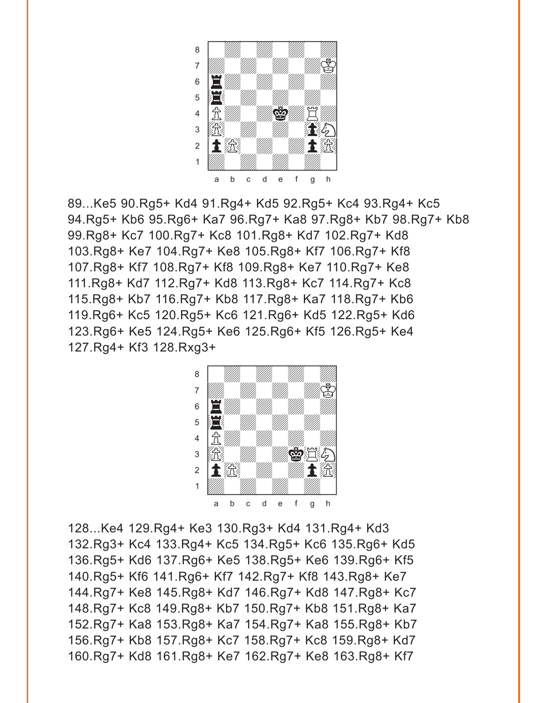

89...Ke5 90.Rg5+ Kd4 91.Rg4+ Kd5 92.Rg5+ Kc4 93.Rg4+ Kc5 94.Rg5+ Kb6 95.Rg6+ Ka7 96.Rg7+ Ka8 97.Rg8+ Kb7 98.Rg7+ Kb8 99.Rg8+ Kc7 100.Rg7+ Kc8 101.Rg8+ Kd7 102.Rg7+ Kd8 103.Rg8+ Ke7 104.Rg7+ Ke8 105.Rg8+ Kf7 106.Rg7+ Kf8 107.Rg8+ Kf7 108.Rg7+ Kf8 109.Rg8+ Ke7 110.Rg7+ Ke8 111.Rg8+ Kd7 112.Rg7+ Kd8 113.Rg8+ Kc7 114.Rg7+ Kc8 115.Rg8+ Kb7 116.Rg7+ Kb8 117.Rg8+ Ka7 118.Rg7+ Kb6 119.Rg6+ Kc5 120.Rg5+ Kc6 121.Rg6+ Kd5 122.Rg5+ Kd6 123.Rg6+ Ke5 124.Rg5+ Ke6 125.Rg6+ Kf5 126.Rg5+ Ke4 127.Rg4+ Kf3 128.Rxg3+



128...Ke4 129.Rg4+ Ke3 130.Rg3+ Kd4 131.Rg4+ Kd3 132.Rg3+ Kc4 133.Rg4+ Kc5 134.Rg5+ Kc6 135.Rg6+ Kd5 136.Rg5+ Kd6 137.Rg6+ Ke5 138.Rg5+ Ke6 139.Rg6+ Kf5 140.Rg5+ Kf6 141.Rg6+ Kf7 142.Rg7+ Kf8 143.Rg8+ Ke7 144.Rg7+ Ke8 145.Rg8+ Kd7 146.Rg7+ Kd8 147.Rg8+ Kc7 148.Rg7+ Kc8 149.Rg8+ Kb7 150.Rg7+ Kb8 151.Rg8+ Ka7 152.Rg7+ Ka8 153.Rg8+ Ka7 154.Rg7+ Ka8 155.Rg8+ Kb7 156.Rg7+ Kb8 157.Rg8+ Kc7 158.Rg7+ Kc8 159.Rg8+ Kd7 160.Rg7+ Kd8 161.Rg8+ Ke7 162.Rg7+ Ke8 163.Rg8+ Kf7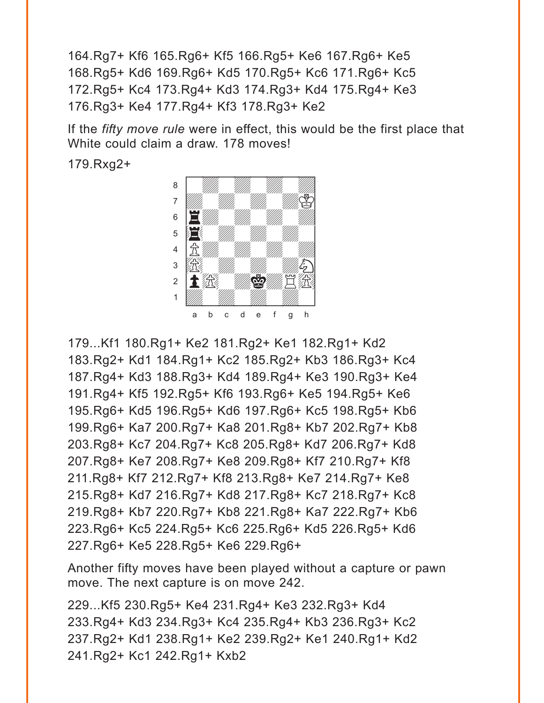164.Rg7+ Kf6 165.Rg6+ Kf5 166.Rg5+ Ke6 167.Rg6+ Ke5 168.Rg5+ Kd6 169.Rg6+ Kd5 170.Rg5+ Kc6 171.Rg6+ Kc5 172.Rg5+ Kc4 173.Rg4+ Kd3 174.Rg3+ Kd4 175.Rg4+ Ke3 176.Rg3+ Ke4 177.Rg4+ Kf3 178.Rg3+ Ke2

If the *fifty move rule* were in effect, this would be the first place that White could claim a draw. 178 moves!

179.Rxg2+



179...Kf1 180.Rg1+ Ke2 181.Rg2+ Ke1 182.Rg1+ Kd2 183.Rg2+ Kd1 184.Rg1+ Kc2 185.Rg2+ Kb3 186.Rg3+ Kc4 187.Rg4+ Kd3 188.Rg3+ Kd4 189.Rg4+ Ke3 190.Rg3+ Ke4 191.Rg4+ Kf5 192.Rg5+ Kf6 193.Rg6+ Ke5 194.Rg5+ Ke6 195.Rg6+ Kd5 196.Rg5+ Kd6 197.Rg6+ Kc5 198.Rg5+ Kb6 199.Rg6+ Ka7 200.Rg7+ Ka8 201.Rg8+ Kb7 202.Rg7+ Kb8 203.Rg8+ Kc7 204.Rg7+ Kc8 205.Rg8+ Kd7 206.Rg7+ Kd8 207.Rg8+ Ke7 208.Rg7+ Ke8 209.Rg8+ Kf7 210.Rg7+ Kf8 211.Rg8+ Kf7 212.Rg7+ Kf8 213.Rg8+ Ke7 214.Rg7+ Ke8 215.Rg8+ Kd7 216.Rg7+ Kd8 217.Rg8+ Kc7 218.Rg7+ Kc8 219.Rg8+ Kb7 220.Rg7+ Kb8 221.Rg8+ Ka7 222.Rg7+ Kb6 223.Rg6+ Kc5 224.Rg5+ Kc6 225.Rg6+ Kd5 226.Rg5+ Kd6 227.Rg6+ Ke5 228.Rg5+ Ke6 229.Rg6+

Another fifty moves have been played without a capture or pawn move. The next capture is on move 242.

229...Kf5 230.Rg5+ Ke4 231.Rg4+ Ke3 232.Rg3+ Kd4 233.Rg4+ Kd3 234.Rg3+ Kc4 235.Rg4+ Kb3 236.Rg3+ Kc2 237.Rg2+ Kd1 238.Rg1+ Ke2 239.Rg2+ Ke1 240.Rg1+ Kd2 241.Rg2+ Kc1 242.Rg1+ Kxb2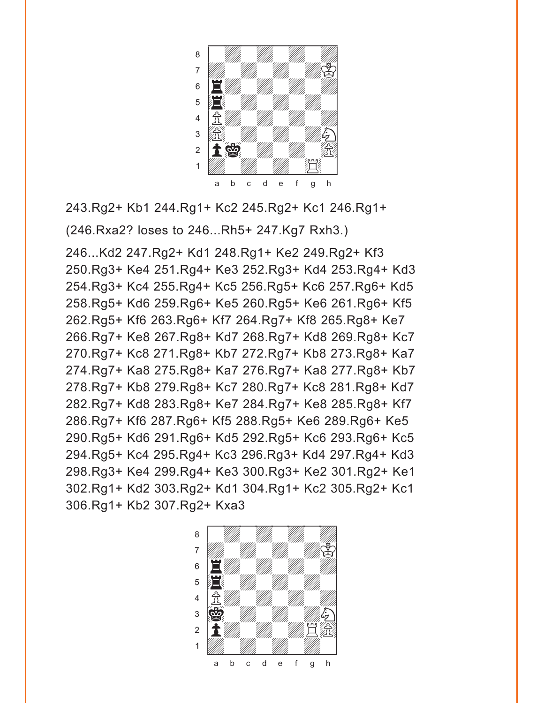

243.Rg2+ Kb1 244.Rg1+ Kc2 245.Rg2+ Kc1 246.Rg1+ (246.Rxa2? loses to 246...Rh5+ 247.Kg7 Rxh3.)

246...Kd2 247.Rg2+ Kd1 248.Rg1+ Ke2 249.Rg2+ Kf3 250.Rg3+ Ke4 251.Rg4+ Ke3 252.Rg3+ Kd4 253.Rg4+ Kd3 254.Rg3+ Kc4 255.Rg4+ Kc5 256.Rg5+ Kc6 257.Rg6+ Kd5 258.Rg5+ Kd6 259.Rg6+ Ke5 260.Rg5+ Ke6 261.Rg6+ Kf5 262.Rg5+ Kf6 263.Rg6+ Kf7 264.Rg7+ Kf8 265.Rg8+ Ke7 266.Rg7+ Ke8 267.Rg8+ Kd7 268.Rg7+ Kd8 269.Rg8+ Kc7 270.Rg7+ Kc8 271.Rg8+ Kb7 272.Rg7+ Kb8 273.Rg8+ Ka7 274.Rg7+ Ka8 275.Rg8+ Ka7 276.Rg7+ Ka8 277.Rg8+ Kb7 278.Rg7+ Kb8 279.Rg8+ Kc7 280.Rg7+ Kc8 281.Rg8+ Kd7 282.Rg7+ Kd8 283.Rg8+ Ke7 284.Rg7+ Ke8 285.Rg8+ Kf7 286.Rg7+ Kf6 287.Rg6+ Kf5 288.Rg5+ Ke6 289.Rg6+ Ke5 290.Rg5+ Kd6 291.Rg6+ Kd5 292.Rg5+ Kc6 293.Rg6+ Kc5 294.Rg5+ Kc4 295.Rg4+ Kc3 296.Rg3+ Kd4 297.Rg4+ Kd3 298.Rg3+ Ke4 299.Rg4+ Ke3 300.Rg3+ Ke2 301.Rg2+ Ke1 302.Rg1+ Kd2 303.Rg2+ Kd1 304.Rg1+ Kc2 305.Rg2+ Kc1 306.Rg1+ Kb2 307.Rg2+ Kxa3

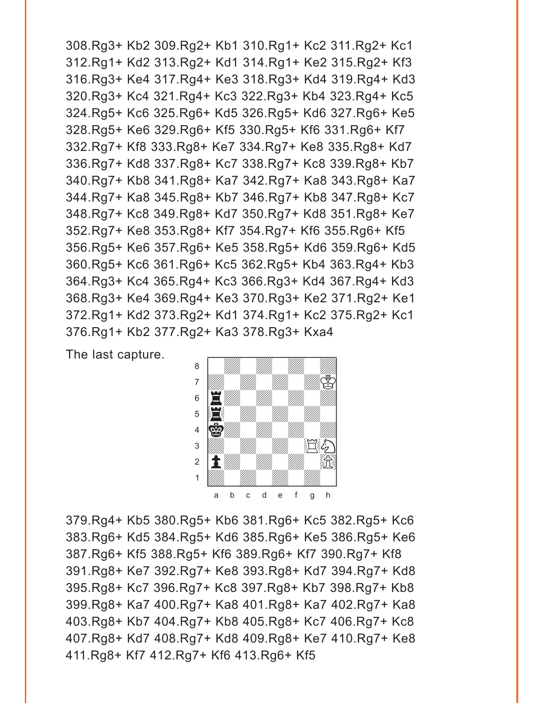308.Rg3+ Kb2 309.Rg2+ Kb1 310.Rg1+ Kc2 311.Rg2+ Kc1 312.Rg1+ Kd2 313.Rg2+ Kd1 314.Rg1+ Ke2 315.Rg2+ Kf3 316.Rg3+ Ke4 317.Rg4+ Ke3 318.Rg3+ Kd4 319.Rg4+ Kd3 320.Rg3+ Kc4 321.Rg4+ Kc3 322.Rg3+ Kb4 323.Rg4+ Kc5 324.Rg5+ Kc6 325.Rg6+ Kd5 326.Rg5+ Kd6 327.Rg6+ Ke5 328.Rg5+ Ke6 329.Rg6+ Kf5 330.Rg5+ Kf6 331.Rg6+ Kf7 332.Rg7+ Kf8 333.Rg8+ Ke7 334.Rg7+ Ke8 335.Rg8+ Kd7 336.Rg7+ Kd8 337.Rg8+ Kc7 338.Rg7+ Kc8 339.Rg8+ Kb7 340.Rg7+ Kb8 341.Rg8+ Ka7 342.Rg7+ Ka8 343.Rg8+ Ka7 344.Rg7+ Ka8 345.Rg8+ Kb7 346.Rg7+ Kb8 347.Rg8+ Kc7 348.Rg7+ Kc8 349.Rg8+ Kd7 350.Rg7+ Kd8 351.Rg8+ Ke7 352.Rg7+ Ke8 353.Rg8+ Kf7 354.Rg7+ Kf6 355.Rg6+ Kf5 356.Rg5+ Ke6 357.Rg6+ Ke5 358.Rg5+ Kd6 359.Rg6+ Kd5 360.Rg5+ Kc6 361.Rg6+ Kc5 362.Rg5+ Kb4 363.Rg4+ Kb3 364.Rg3+ Kc4 365.Rg4+ Kc3 366.Rg3+ Kd4 367.Rg4+ Kd3 368.Rg3+ Ke4 369.Rg4+ Ke3 370.Rg3+ Ke2 371.Rg2+ Ke1 372.Rg1+ Kd2 373.Rg2+ Kd1 374.Rg1+ Kc2 375.Rg2+ Kc1 376.Rg1+ Kb2 377.Rg2+ Ka3 378.Rg3+ Kxa4

The last capture.



379.Rg4+ Kb5 380.Rg5+ Kb6 381.Rg6+ Kc5 382.Rg5+ Kc6 383.Rg6+ Kd5 384.Rg5+ Kd6 385.Rg6+ Ke5 386.Rg5+ Ke6 387.Rg6+ Kf5 388.Rg5+ Kf6 389.Rg6+ Kf7 390.Rg7+ Kf8 391.Rg8+ Ke7 392.Rg7+ Ke8 393.Rg8+ Kd7 394.Rg7+ Kd8 395.Rg8+ Kc7 396.Rg7+ Kc8 397.Rg8+ Kb7 398.Rg7+ Kb8 399.Rg8+ Ka7 400.Rg7+ Ka8 401.Rg8+ Ka7 402.Rg7+ Ka8 403.Rg8+ Kb7 404.Rg7+ Kb8 405.Rg8+ Kc7 406.Rg7+ Kc8 407.Rg8+ Kd7 408.Rg7+ Kd8 409.Rg8+ Ke7 410.Rg7+ Ke8 411.Rg8+ Kf7 412.Rg7+ Kf6 413.Rg6+ Kf5